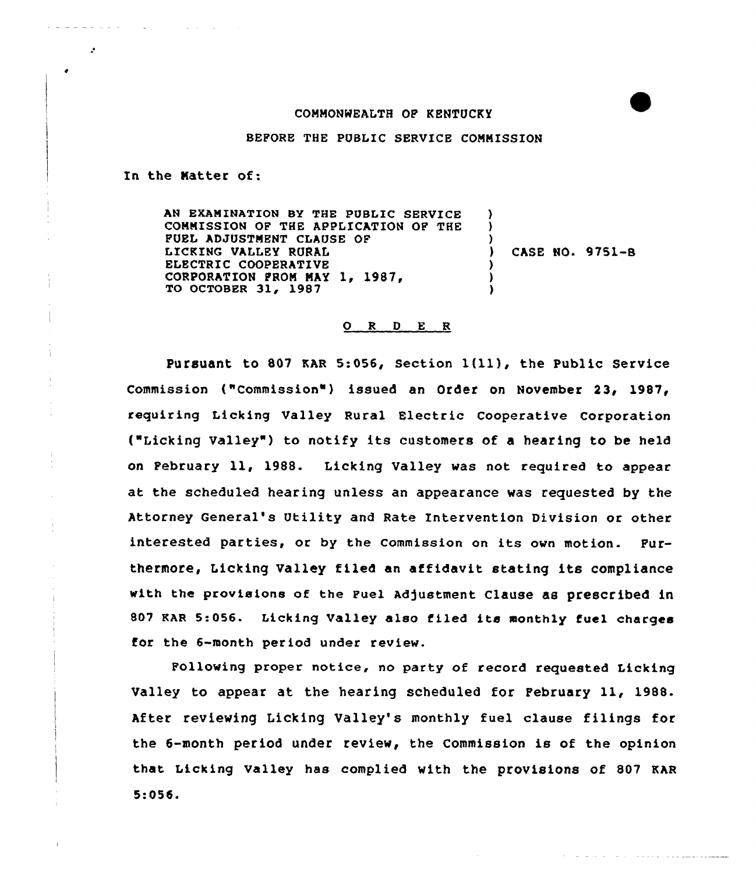## COMMONWEALTH OF KENTUCKY

BEFORE THE PUBLIC SERVICE COMMISSION

In the Natter of:

 $\omega_{\rm c} = \omega_{\rm c} \omega_{\rm c} = \omega_{\rm c} \omega_{\rm c} \omega_{\rm c} = \omega_{\rm c} \omega_{\rm c} \omega_{\rm c}$ 

 $\mathcal{L}$ 

AN EXAMINATION BY THE PUBLIC SERVICE ٠, COMMISSION OF THE APPLICATION OF THE  $\mathbf{I}$ FUEL ADJUSTMENT CLAUSE OF ) LICKING VALLEY RURAL ) CASE NO. 9751-B ELECTRIC COOPERATIVE CORPORATION FROM MAY 1, 1987,  $\frac{1}{2}$ TO OCTOBER 31, 1987

## 0 <sup>R</sup> <sup>D</sup> E <sup>R</sup>

Pursuant to <sup>807</sup> KAR 5:056, Section 1(ll), the Public Service Commission ("Commission" ) issued an Order on November 23, 1987, requiring Licking Valley Rural Electric Cooperative Corporation ("Licking Valley" ) to notify its customers of <sup>a</sup> hearing to be held on February ll, 1988. Licking Valley was not required to appear at the scheduled hearing unless an appearance was requested by the Attorney General's Utility and Rate Intervention Division or other interested parties, or by the commission on its own motion. Furthermore, Licking Valley filed an affidavit. stating its compliance with the provisions of the Fuel Adjustment Clause as prescribed in <sup>807</sup> KAR 5:056. Licking Valley also filed its monthly fuel charges for the 6-month period under review.

Following proper notice, no party of record requested Licking Valley to appear at the hearing scheduled for February 11, 1988. After reviewing Licking Valley's monthly fuel clause filings for the 6-month period under review, the Commission is of the opinion that Licking valley has complied with the provisions of 807 KAR 5:056.

المستحقق والمستحدث والمتحدث